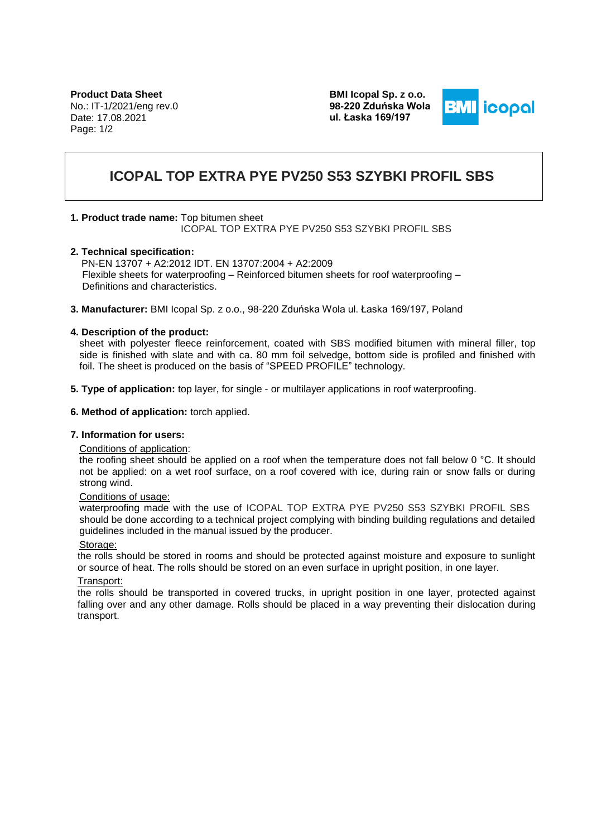**Product Data Sheet** No.: IT-1/2021/eng rev.0 Date: 17.08.2021 Page: 1/2

**BMI Icopal Sp. z o.o. 98-220 Zduńska Wola ul. Łaska 169/197**



# **ICOPAL TOP EXTRA PYE PV250 S53 SZYBKI PROFIL SBS**

## **1. Product trade name:** Top bitumen sheet

ICOPAL TOP EXTRA PYE PV250 S53 SZYBKI PROFIL SBS

#### **2. Technical specification:**

 PN-EN 13707 + A2:2012 IDT. EN 13707:2004 + A2:2009 Flexible sheets for waterproofing – Reinforced bitumen sheets for roof waterproofing – Definitions and characteristics.

**3. Manufacturer:** BMI Icopal Sp. z o.o., 98-220 Zduńska Wola ul. Łaska 169/197, Poland

## **4. Description of the product:**

sheet with polyester fleece reinforcement, coated with SBS modified bitumen with mineral filler, top side is finished with slate and with ca. 80 mm foil selvedge, bottom side is profiled and finished with foil. The sheet is produced on the basis of "SPEED PROFILE" technology.

- **5. Type of application:** top layer, for single or multilayer applications in roof waterproofing.
- **6. Method of application:** torch applied.

#### **7. Information for users:**

#### Conditions of application:

the roofing sheet should be applied on a roof when the temperature does not fall below 0 °C. It should not be applied: on a wet roof surface, on a roof covered with ice, during rain or snow falls or during strong wind.

#### Conditions of usage:

waterproofing made with the use of ICOPAL TOP EXTRA PYE PV250 S53 SZYBKI PROFIL SBS should be done according to a technical project complying with binding building regulations and detailed guidelines included in the manual issued by the producer.

#### Storage:

the rolls should be stored in rooms and should be protected against moisture and exposure to sunlight or source of heat. The rolls should be stored on an even surface in upright position, in one layer.

#### Transport:

the rolls should be transported in covered trucks, in upright position in one layer, protected against falling over and any other damage. Rolls should be placed in a way preventing their dislocation during transport.